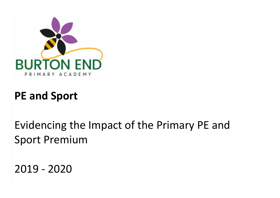

## **PE and Sport**

Evidencing the Impact of the Primary PE and Sport Premium

2019 - 2020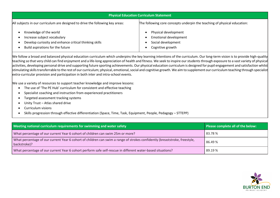| <b>Physical Education Curriculum Statement</b>                                                                                                      |                                                                                                |  |  |  |  |
|-----------------------------------------------------------------------------------------------------------------------------------------------------|------------------------------------------------------------------------------------------------|--|--|--|--|
| All subjects in our curriculum are designed to drive the following key areas:                                                                       | The following core concepts underpin the teaching of physical education:                       |  |  |  |  |
| Knowledge of the world<br>Increase subject vocabulary<br>Develop curiosity and enhance critical thinking skills<br>Build aspirations for the future | Physical development<br><b>Emotional development</b><br>Social development<br>Cognitive growth |  |  |  |  |

We follow a broad and balanced physical education curriculum which underpins the key learning intentions of the curriculum. Our long-term vision is to provide high-quality teaching so that very child can find enjoyment and a life-long appreciation of health and fitness. We seek to inspire our students through exposure to a vast variety of physical activities, developing personal drive and supporting future sporting achievements. Our physical education curriculum is designed for pupil engagement and satisfaction whilst stimulating skills transferrable to the rest of our curriculum; physical, emotional, social and cognitive growth. We aim to supplement our curriculum teaching through specialist extra-curricular provision and participation in both inter and intra-school events.

We use a variety of resources to support teacher knowledge and improve lessons:

- The use of 'The PE Hub' curriculum for consistent and effective teaching
- Specialist coaching and instruction from experienced practitioners
- Targeted assessment tracking systems
- Unity Trust Atlas shared drive
- Curriculum visions
- Skills progression through effective differentiation (Space, Time, Task, Equipment, People, Pedagogy STTEPP)

| Meeting national curriculum requirements for swimming and water safety                                                                     | Please complete all of the below: |
|--------------------------------------------------------------------------------------------------------------------------------------------|-----------------------------------|
| What percentage of our current Year 6 cohort of children can swim 25m or more?                                                             | 83.78%                            |
| What percentage of our current Year 6 cohort of children can swim a range of strokes confidently (breaststroke, freestyle,<br>backstroke)? | 86.49 %                           |
| What percentage of our current Year 6 cohort perform safe self-rescue in different water-based situations?                                 | 89.19 %                           |

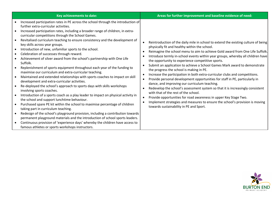| Key achievements to date:                                                                                                                                                                                                                                                                                                                                                                                                                                                                                                                                                                                                                                                                                                                                                                                                                                                                                                                                                                                                                                                                                                                                                                                                                                                                                                                                                                                                                                                                                                       | Areas for further improvement and baseline evidence of need:                                                                                                                                                                                                                                                                                                                                                                                                                                                                                                                                                                                                                                                                                                                                                                                                                                                                                                                                                                                                                                                             |
|---------------------------------------------------------------------------------------------------------------------------------------------------------------------------------------------------------------------------------------------------------------------------------------------------------------------------------------------------------------------------------------------------------------------------------------------------------------------------------------------------------------------------------------------------------------------------------------------------------------------------------------------------------------------------------------------------------------------------------------------------------------------------------------------------------------------------------------------------------------------------------------------------------------------------------------------------------------------------------------------------------------------------------------------------------------------------------------------------------------------------------------------------------------------------------------------------------------------------------------------------------------------------------------------------------------------------------------------------------------------------------------------------------------------------------------------------------------------------------------------------------------------------------|--------------------------------------------------------------------------------------------------------------------------------------------------------------------------------------------------------------------------------------------------------------------------------------------------------------------------------------------------------------------------------------------------------------------------------------------------------------------------------------------------------------------------------------------------------------------------------------------------------------------------------------------------------------------------------------------------------------------------------------------------------------------------------------------------------------------------------------------------------------------------------------------------------------------------------------------------------------------------------------------------------------------------------------------------------------------------------------------------------------------------|
| Increased participation rates in PE across the school through the introduction of<br>further extra-curricular activities.<br>Increased participation rates, including a broader range of children, in extra-<br>curricular competitions through the School Games.<br>Revitalised curriculum teaching to ensure consistency and the development of<br>key skills across year groups.<br>Introduction of new, unfamiliar sports to the school.<br>Celebration of successes through reward.<br>Achievement of silver award from the school's partnership with One Life<br>Suffolk.<br>Replenishment of sports equipment throughout each year of the funding to<br>maximise our curriculum and extra-curricular teaching.<br>Maintained and extended relationships with sports coaches to impact on skill<br>development and extra-curricular activities.<br>Re-deployed the school's approach to sports days with skills workshops<br>involving sports coaches.<br>Introduction of a sports coach as a play leader to impact on physical activity in<br>the school and support lunchtime behaviour.<br>Purchased spare PE kit within the school to maximise percentage of children<br>taking part in curriculum teaching.<br>Redesign of the school's playground provision, including a contribution towards<br>permanent playground materials and the introduction of school sports leaders.<br>Continuous provision of 'experience days' whereby the children have access to<br>famous athletes or sports workshops instructors. | Reintroduction of the daily mile in school to extend the existing culture of being<br>$\bullet$<br>physically fit and healthy within the school.<br>Reimagine the school menu to aim to achieve Gold award from One Life Suffolk.<br>$\bullet$<br>Introduce termly in-school events within year groups, whereby all children have<br>the opportunity to experience competitive sports.<br>Submit an application to achieve a School Games Mark award to demonstrate<br>the progress the school is making in PE.<br>Increase the participation in both extra-curricular clubs and competitions.<br>$\bullet$<br>Provide personal development opportunities for staff in PE, particularly in<br>$\bullet$<br>dance, and improving our curriculum teaching.<br>Redevelop the school's assessment system so that it is increasingly consistent<br>$\bullet$<br>with that of the rest of the school.<br>Provide opportunities for road awareness in upper Key Stage Two.<br>$\bullet$<br>Implement strategies and measures to ensure the school's provision is moving<br>$\bullet$<br>towards sustainability in PE and Sport. |

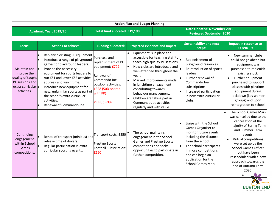|                        | <b>Action Plan and Budget Planning</b>                                                                   |                                                                                                                                                                                                                                                                                                                                                                                               |                                                                                                                                                            |                                                                                                                                                                                                                             |                                                                                                                                                                 |                                                                                                                                                                                                                                                             |                                                                                                                                                                                                                                                                                                                  |
|------------------------|----------------------------------------------------------------------------------------------------------|-----------------------------------------------------------------------------------------------------------------------------------------------------------------------------------------------------------------------------------------------------------------------------------------------------------------------------------------------------------------------------------------------|------------------------------------------------------------------------------------------------------------------------------------------------------------|-----------------------------------------------------------------------------------------------------------------------------------------------------------------------------------------------------------------------------|-----------------------------------------------------------------------------------------------------------------------------------------------------------------|-------------------------------------------------------------------------------------------------------------------------------------------------------------------------------------------------------------------------------------------------------------|------------------------------------------------------------------------------------------------------------------------------------------------------------------------------------------------------------------------------------------------------------------------------------------------------------------|
| Academic Year: 2019/20 |                                                                                                          |                                                                                                                                                                                                                                                                                                                                                                                               | Total fund allocated: £19,190                                                                                                                              |                                                                                                                                                                                                                             | <b>Date Updated: November 2019</b><br><b>Reviewed September 2020</b>                                                                                            |                                                                                                                                                                                                                                                             |                                                                                                                                                                                                                                                                                                                  |
|                        | <b>Focus:</b>                                                                                            | <b>Actions to achieve:</b>                                                                                                                                                                                                                                                                                                                                                                    | <b>Funding allocated:</b>                                                                                                                                  |                                                                                                                                                                                                                             | <b>Projected evidence and impact:</b>                                                                                                                           | <b>Sustainability and next</b><br>steps:                                                                                                                                                                                                                    | <b>Impact in response to</b><br><b>COVID 19</b>                                                                                                                                                                                                                                                                  |
|                        | Maintain and<br>improve the<br>quality of taught<br>PE sessions and<br>$extra-curricular$<br>activities. | Replenish existing PE equipment.<br>Introduce a range of playground<br>games for playground leaders.<br>Provide the necessary<br>$\bullet$<br>equipment for sports leaders to<br>run KS1 and lower KS2 activities<br>at break and lunch time.<br>Introduce new equipment for<br>new, unfamiliar sports as part of<br>the school's extra-curricular<br>activities.<br>Renewal of Commando Joe. | Purchase and<br>replenishment of PE<br>equipment: £729<br>Renewal of<br>Commando Joe<br>outdoor activities:<br>£328 (50% shared<br>with PP)<br>PE Hub £332 | Equipment is in place and<br>$\bullet$<br>year.<br>l e i<br>in lunchtime engagement<br>contributing towards<br>behaviour management.<br>Children are taking part in<br>Commando Joe activities<br>regularly and with value. | accessible for teaching staff to<br>teach high-quality PE sessions.<br>New clubs are introduced and<br>well-attended throughout the<br>Marked improvements made | Replenishment of<br>playground resources.<br>Reintroduction of sports<br>leaders.<br>Further renewal of<br>Commando Joe<br>subscriptions.<br>Increased participation<br>in new extra-curricular<br>clubs.                                                   | New summer clubs<br>could not go ahead but<br>equipment was<br>purchased to replenish<br>existing stock.<br>Further equipment<br>purchased to support<br>classes with playtime<br>equipment during<br>lockdown (key worker<br>groups) and upon<br>reintegration to school.                                       |
|                        | Continuing<br>engagement<br>within School<br>Games<br>competitions.                                      | Rental of transport (minibus) and<br>release time of drivers.<br>Regular participation in extra-<br>curricular sporting events.                                                                                                                                                                                                                                                               | Fransport costs: £250<br>Prestige Sports<br>Football Subscription:<br>£150                                                                                 | The school maintains<br>engagement in the School<br>competitions and seeks<br>further competition.                                                                                                                          | <b>Games and Prestige Sports</b><br>opportunities to participate in                                                                                             | Liaise with the School<br>Games Organiser to<br>monitor future events<br>including the distance<br>from the school.<br>The school participates<br>$\bullet$<br>in more competitions<br>and can begin an<br>application for the<br><b>School Games Mark.</b> | The School Games Mark<br>was cancelled due to the<br>cancellation of the<br>majority of Spring Term<br>and Summer Term<br>events.<br>Virtual competitions<br>were set up by the<br><b>School Games Officer</b><br>but have been<br>rescheduled with a new<br>approach towards the<br>end of Autumn Term<br>2020. |

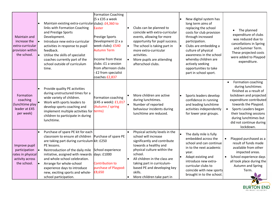| Maintain and<br>increase the<br>extra-curricular<br>provision within<br>the school.   | Maintain existing extra-curricular clubs): £4,360 to<br>links with Formation Coaching<br>and Prestige Sports<br>Development.<br>Introduce new extra-curricular<br>activities in response to pupil<br>feedback.<br>Utilise the skills of specialist<br>l•<br>coaches currently part of the<br>school outside of curriculum<br>time.                                                                                   | Formation Coaching<br>$(5 \times £35$ a week<br>Easter<br>Prestige Sports<br>Development (2 x a<br>week clubs): £540<br><b>Autumn Term</b><br>Income from these<br>clubs: £1 a session<br>from afternoon clubs<br>£2 from specialist<br>coaches £2,837 | l o<br>l e | Clubs can be planned to<br>coincide with extra-curricular<br>events, allowing for more<br>opportunity for pupil success.<br>The school is taking part in<br>more extra-curricular<br>activities.<br>More pupils are attending<br>afterschool clubs.                                               | New digital system has<br>long term aims of<br>replacing the school<br>costs for club provision<br>through increased<br>participation.<br>Clubs are embedding a<br>culture of physical<br>awareness in the school<br>whereby children are<br>actively seeking<br>opportunities to take<br>part in school sport. | The planned<br>expenditure of clubs<br>was reduced due to<br>cancellations in Spring<br>and Summer Term.<br>These projected costs<br>were added to Playpod<br>expenditure.                                                                                                                    |
|---------------------------------------------------------------------------------------|----------------------------------------------------------------------------------------------------------------------------------------------------------------------------------------------------------------------------------------------------------------------------------------------------------------------------------------------------------------------------------------------------------------------|--------------------------------------------------------------------------------------------------------------------------------------------------------------------------------------------------------------------------------------------------------|------------|---------------------------------------------------------------------------------------------------------------------------------------------------------------------------------------------------------------------------------------------------------------------------------------------------|-----------------------------------------------------------------------------------------------------------------------------------------------------------------------------------------------------------------------------------------------------------------------------------------------------------------|-----------------------------------------------------------------------------------------------------------------------------------------------------------------------------------------------------------------------------------------------------------------------------------------------|
| Formation<br>coaching<br>(lunchtime play<br>leader at £45<br>per week)                | Provide quality PE activities<br>during unstructured times for a<br>wide variety of children.<br>Work with sports leaders to<br>develop sports coaching and<br>implement multiple activities for<br>children to participate in during<br>lunchtime.                                                                                                                                                                  | Formation coaching<br>(£45 a week): £1,017<br>(Autumn / spring<br>terms)                                                                                                                                                                               | l e        | More children are active<br>during lunchtimes.<br>Number of reported<br>behaviour incidents during<br>lunchtime are reduced.                                                                                                                                                                      | Sports leaders develop<br>confidence in running<br>and leading lunchtime<br>activities independently<br>for lower year groups.                                                                                                                                                                                  | Formation coaching<br>$\bullet$<br>during lunchtimes<br>finished as a result of<br>lockdown and projected<br>expenditure contributed<br>towards the Playpod.<br>Sports Leaders began<br>$\bullet$<br>their teaching sessions<br>during lunchtimes but<br>did not continue during<br>lockdown. |
| Improve pupil<br>participation<br>rates in physical<br>activity across<br>the school. | Purchase of spare PE kit for each<br>classroom to ensure all children Purchase of spare PE<br>are taking part during curriculum kit: £250<br>PE lessons.<br>Reintroduction of the daily mile<br>$\bullet$<br>initiative, assigned with rewards<br>and whole-school celebration.<br>$\bullet$<br>Arrange for whole-school<br>experience days to introduce<br>new, exciting sports and whole-<br>school participation. | School experience<br>days: £1000<br>Contribution to<br>purchase of Playpod:<br>£8,650                                                                                                                                                                  | $\bullet$  | Physical activity levels in the<br>school will increase<br>significantly and contribute<br>towards a healthy and<br>physical culture within the<br>school.<br>All children in the class are<br>taking part in curriculum-<br>based PE and developing key<br>skills.<br>More children take part in | The daily mile is fully<br>embedded across the<br>school and can continue<br>in to the next academic<br>year.<br>Adapt existing and<br>introduce new extra-<br>curricular clubs to<br>coincide with new sports<br>brought in to the school.                                                                     | Playpod purchased as a<br>result of funds made<br>available from other<br>impacted areas.<br>School experience days<br>all took place during the<br>Autumn and Spring<br>Term.                                                                                                                |

BURTON END